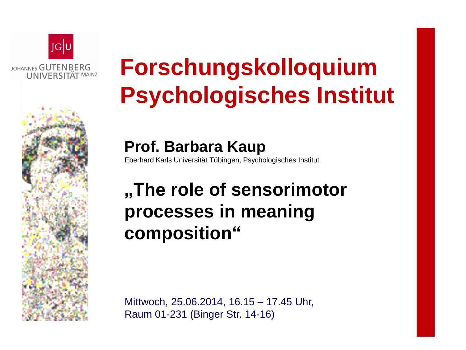

## **Forschungskolloquium Psychologisches Institut**

**Prof. Barbara Kaup** Eberhard Karls Universität Tübingen, Psychologisches Institut

## **"The role of sensorimotor processes in meaning composition"**

Mittwoch, 25.06.2014, 16.15 – 17.45 Uhr, Raum 01-231 (Binger Str. 14-16)